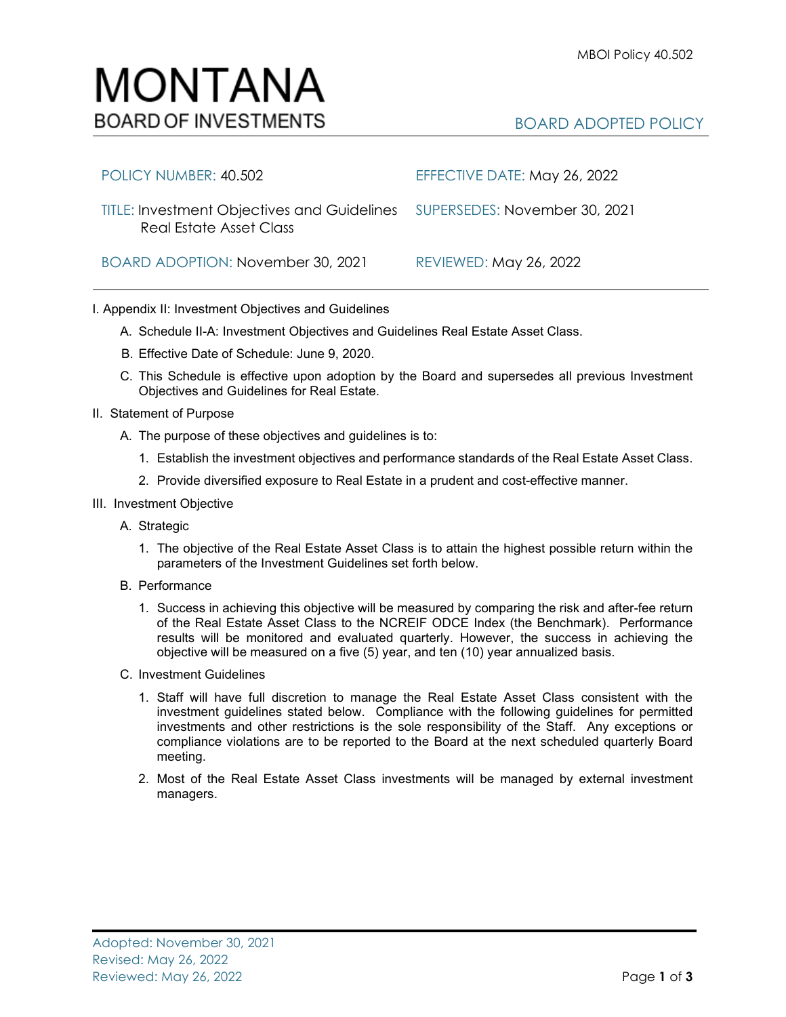## MONTANA **BOARD OF INVESTMENTS**

## BOARD ADOPTED POLICY

| POLICY NUMBER: 40.502                                                                                | EFFECTIVE DATE: May 26, 2022  |
|------------------------------------------------------------------------------------------------------|-------------------------------|
| TITLE: Investment Objectives and Guidelines SUPERSEDES: November 30, 2021<br>Real Estate Asset Class |                               |
| BOARD ADOPTION: November 30, 2021                                                                    | <b>REVIEWED: May 26, 2022</b> |

## I. Appendix II: Investment Objectives and Guidelines

- A. Schedule II-A: Investment Objectives and Guidelines Real Estate Asset Class.
- B. Effective Date of Schedule: June 9, 2020.
- C. This Schedule is effective upon adoption by the Board and supersedes all previous Investment Objectives and Guidelines for Real Estate.
- II. Statement of Purpose
	- A. The purpose of these objectives and guidelines is to:
		- 1. Establish the investment objectives and performance standards of the Real Estate Asset Class.
		- 2. Provide diversified exposure to Real Estate in a prudent and cost-effective manner.
- III. Investment Objective
	- A. Strategic
		- 1. The objective of the Real Estate Asset Class is to attain the highest possible return within the parameters of the Investment Guidelines set forth below.
	- B. Performance
		- 1. Success in achieving this objective will be measured by comparing the risk and after-fee return of the Real Estate Asset Class to the NCREIF ODCE Index (the Benchmark). Performance results will be monitored and evaluated quarterly. However, the success in achieving the objective will be measured on a five (5) year, and ten (10) year annualized basis.
	- C. Investment Guidelines
		- 1. Staff will have full discretion to manage the Real Estate Asset Class consistent with the investment guidelines stated below. Compliance with the following guidelines for permitted investments and other restrictions is the sole responsibility of the Staff. Any exceptions or compliance violations are to be reported to the Board at the next scheduled quarterly Board meeting.
		- 2. Most of the Real Estate Asset Class investments will be managed by external investment managers.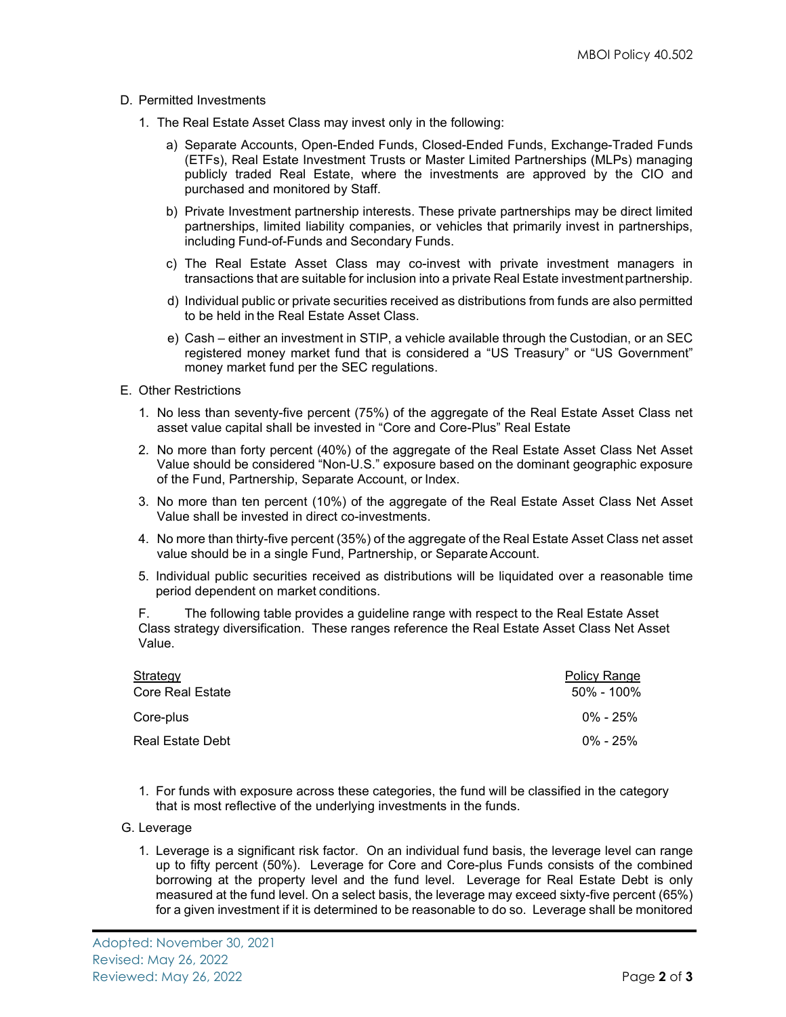- D. Permitted Investments
	- 1. The Real Estate Asset Class may invest only in the following:
		- a) Separate Accounts, Open-Ended Funds, Closed-Ended Funds, Exchange-Traded Funds (ETFs), Real Estate Investment Trusts or Master Limited Partnerships (MLPs) managing publicly traded Real Estate, where the investments are approved by the CIO and purchased and monitored by Staff.
		- b) Private Investment partnership interests. These private partnerships may be direct limited partnerships, limited liability companies, or vehicles that primarily invest in partnerships, including Fund-of-Funds and Secondary Funds.
		- c) The Real Estate Asset Class may co-invest with private investment managers in transactions that are suitable for inclusion into a private Real Estate investmentpartnership.
		- d) Individual public or private securities received as distributions from funds are also permitted to be held in the Real Estate Asset Class.
		- e) Cash either an investment in STIP, a vehicle available through the Custodian, or an SEC registered money market fund that is considered a "US Treasury" or "US Government" money market fund per the SEC regulations.
- E. Other Restrictions
	- 1. No less than seventy-five percent (75%) of the aggregate of the Real Estate Asset Class net asset value capital shall be invested in "Core and Core-Plus" Real Estate
	- 2. No more than forty percent (40%) of the aggregate of the Real Estate Asset Class Net Asset Value should be considered "Non-U.S." exposure based on the dominant geographic exposure of the Fund, Partnership, Separate Account, or Index.
	- 3. No more than ten percent (10%) of the aggregate of the Real Estate Asset Class Net Asset Value shall be invested in direct co-investments.
	- 4. No more than thirty-five percent (35%) of the aggregate of the Real Estate Asset Class net asset value should be in a single Fund, Partnership, or Separate Account.
	- 5. Individual public securities received as distributions will be liquidated over a reasonable time period dependent on market conditions.

F. The following table provides a guideline range with respect to the Real Estate Asset Class strategy diversification. These ranges reference the Real Estate Asset Class Net Asset Value.

| Strategy         | Policy Range |
|------------------|--------------|
| Core Real Estate | 50% - 100%   |
| Core-plus        | $0\%$ - 25%  |
| Real Estate Debt | $0\%$ - 25%  |

1. For funds with exposure across these categories, the fund will be classified in the category that is most reflective of the underlying investments in the funds.

## G. Leverage

1. Leverage is a significant risk factor. On an individual fund basis, the leverage level can range up to fifty percent (50%). Leverage for Core and Core-plus Funds consists of the combined borrowing at the property level and the fund level. Leverage for Real Estate Debt is only measured at the fund level. On a select basis, the leverage may exceed sixty-five percent (65%) for a given investment if it is determined to be reasonable to do so. Leverage shall be monitored